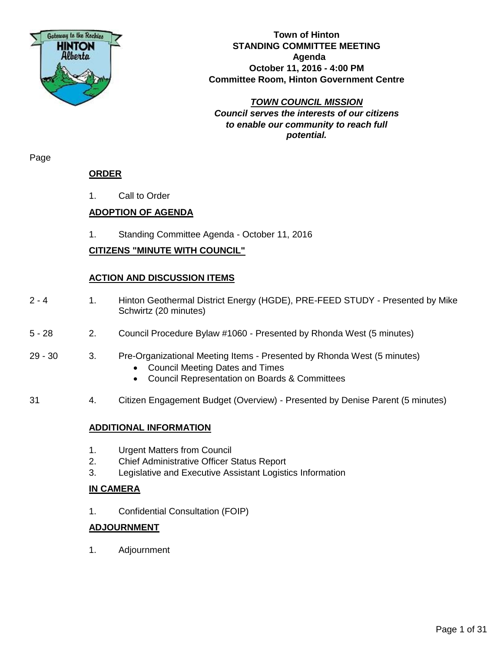

**Town of Hinton STANDING COMMITTEE MEETING Agenda October 11, 2016 - 4:00 PM Committee Room, Hinton Government Centre**

*TOWN COUNCIL MISSION Council serves the interests of our citizens to enable our community to reach full potential.*

Page

# **ORDER**

1. Call to Order

# **ADOPTION OF AGENDA**

1. Standing Committee Agenda - October 11, 2016

# **CITIZENS "MINUTE WITH COUNCIL"**

# **ACTION AND DISCUSSION ITEMS**

- 2 4 1. Hinton Geothermal District Energy (HGDE), PRE-FEED STUDY Presented by Mike Schwirtz (20 minutes)
- 5 28 2. Council Procedure Bylaw #1060 Presented by Rhonda West (5 minutes)
- 29 30 3. Pre-Organizational Meeting Items Presented by Rhonda West (5 minutes)
	- Council Meeting Dates and Times
	- Council Representation on Boards & Committees
- 31 4. Citizen Engagement Budget (Overview) Presented by Denise Parent (5 minutes)

#### **ADDITIONAL INFORMATION**

- 1. Urgent Matters from Council
- 2. Chief Administrative Officer Status Report
- 3. Legislative and Executive Assistant Logistics Information

#### **IN CAMERA**

1. Confidential Consultation (FOIP)

#### **ADJOURNMENT**

1. Adjournment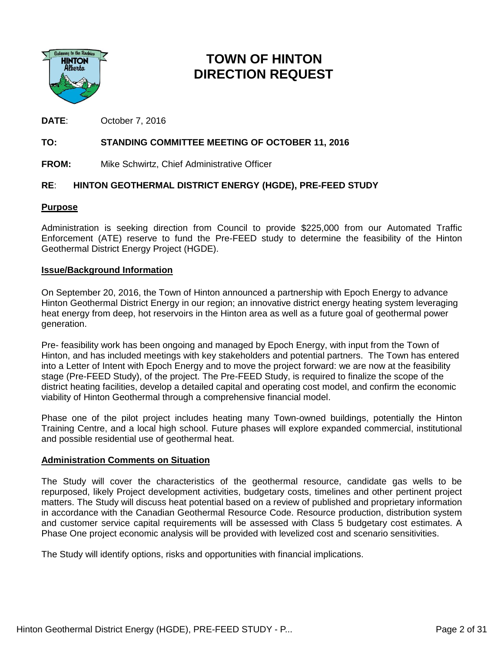

# **TOWN OF HINTON DIRECTION REQUEST**

**DATE**: October 7, 2016

# **TO: STANDING COMMITTEE MEETING OF OCTOBER 11, 2016**

**FROM:** Mike Schwirtz, Chief Administrative Officer

# **RE**: **HINTON GEOTHERMAL DISTRICT ENERGY (HGDE), PRE-FEED STUDY**

#### **Purpose**

Administration is seeking direction from Council to provide \$225,000 from our Automated Traffic Enforcement (ATE) reserve to fund the Pre-FEED study to determine the feasibility of the Hinton Geothermal District Energy Project (HGDE).

#### **Issue/Background Information**

On September 20, 2016, the Town of Hinton announced a partnership with Epoch Energy to advance Hinton Geothermal District Energy in our region; an innovative district energy heating system leveraging heat energy from deep, hot reservoirs in the Hinton area as well as a future goal of geothermal power generation.

Pre- feasibility work has been ongoing and managed by Epoch Energy, with input from the Town of Hinton, and has included meetings with key stakeholders and potential partners. The Town has entered into a Letter of Intent with Epoch Energy and to move the project forward: we are now at the feasibility stage (Pre-FEED Study), of the project. The Pre-FEED Study, is required to finalize the scope of the district heating facilities, develop a detailed capital and operating cost model, and confirm the economic viability of Hinton Geothermal through a comprehensive financial model.

Phase one of the pilot project includes heating many Town-owned buildings, potentially the Hinton Training Centre, and a local high school. Future phases will explore expanded commercial, institutional and possible residential use of geothermal heat.

#### **Administration Comments on Situation**

The Study will cover the characteristics of the geothermal resource, candidate gas wells to be repurposed, likely Project development activities, budgetary costs, timelines and other pertinent project matters. The Study will discuss heat potential based on a review of published and proprietary information in accordance with the Canadian Geothermal Resource Code. Resource production, distribution system and customer service capital requirements will be assessed with Class 5 budgetary cost estimates. A Phase One project economic analysis will be provided with levelized cost and scenario sensitivities.

The Study will identify options, risks and opportunities with financial implications.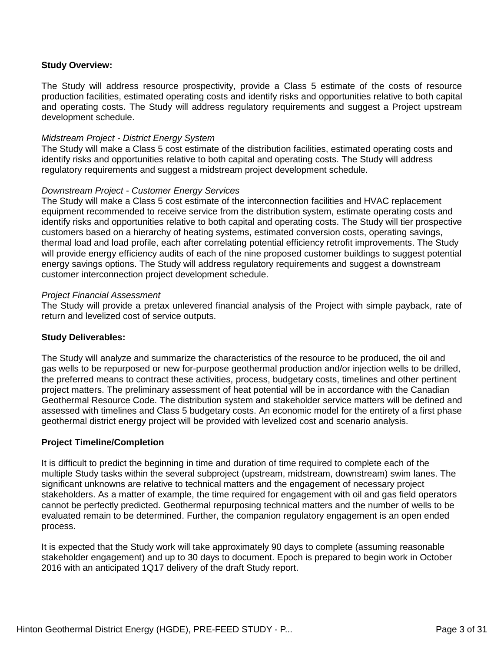#### **Study Overview:**

The Study will address resource prospectivity, provide a Class 5 estimate of the costs of resource production facilities, estimated operating costs and identify risks and opportunities relative to both capital and operating costs. The Study will address regulatory requirements and suggest a Project upstream development schedule.

#### *Midstream Project - District Energy System*

The Study will make a Class 5 cost estimate of the distribution facilities, estimated operating costs and identify risks and opportunities relative to both capital and operating costs. The Study will address regulatory requirements and suggest a midstream project development schedule.

#### *Downstream Project - Customer Energy Services*

The Study will make a Class 5 cost estimate of the interconnection facilities and HVAC replacement equipment recommended to receive service from the distribution system, estimate operating costs and identify risks and opportunities relative to both capital and operating costs. The Study will tier prospective customers based on a hierarchy of heating systems, estimated conversion costs, operating savings, thermal load and load profile, each after correlating potential efficiency retrofit improvements. The Study will provide energy efficiency audits of each of the nine proposed customer buildings to suggest potential energy savings options. The Study will address regulatory requirements and suggest a downstream customer interconnection project development schedule.

#### *Project Financial Assessment*

The Study will provide a pretax unlevered financial analysis of the Project with simple payback, rate of return and levelized cost of service outputs.

#### **Study Deliverables:**

The Study will analyze and summarize the characteristics of the resource to be produced, the oil and gas wells to be repurposed or new for-purpose geothermal production and/or injection wells to be drilled, the preferred means to contract these activities, process, budgetary costs, timelines and other pertinent project matters. The preliminary assessment of heat potential will be in accordance with the Canadian Geothermal Resource Code. The distribution system and stakeholder service matters will be defined and assessed with timelines and Class 5 budgetary costs. An economic model for the entirety of a first phase geothermal district energy project will be provided with levelized cost and scenario analysis.

#### **Project Timeline/Completion**

It is difficult to predict the beginning in time and duration of time required to complete each of the multiple Study tasks within the several subproject (upstream, midstream, downstream) swim lanes. The significant unknowns are relative to technical matters and the engagement of necessary project stakeholders. As a matter of example, the time required for engagement with oil and gas field operators cannot be perfectly predicted. Geothermal repurposing technical matters and the number of wells to be evaluated remain to be determined. Further, the companion regulatory engagement is an open ended process.

It is expected that the Study work will take approximately 90 days to complete (assuming reasonable stakeholder engagement) and up to 30 days to document. Epoch is prepared to begin work in October 2016 with an anticipated 1Q17 delivery of the draft Study report.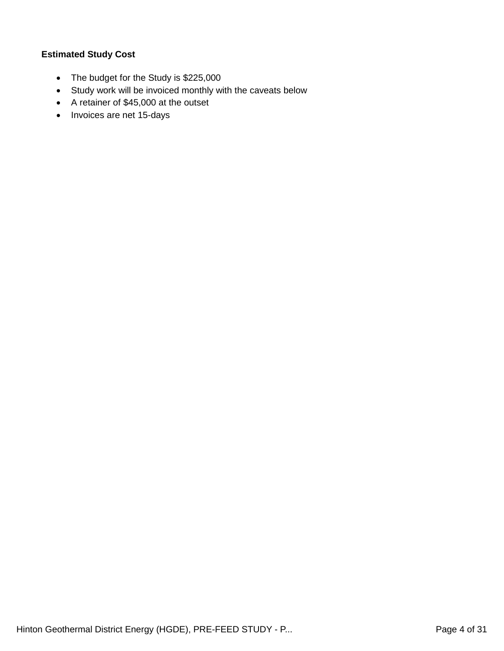# **Estimated Study Cost**

- The budget for the Study is \$225,000
- Study work will be invoiced monthly with the caveats below
- A retainer of \$45,000 at the outset
- Invoices are net 15-days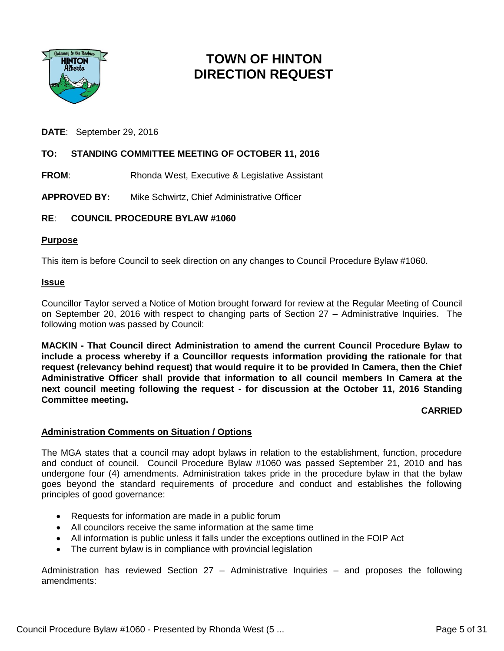

# **TOWN OF HINTON DIRECTION REQUEST**

**DATE**: September 29, 2016

# **TO: STANDING COMMITTEE MEETING OF OCTOBER 11, 2016**

**FROM:** Rhonda West, Executive & Legislative Assistant

**APPROVED BY:** Mike Schwirtz, Chief Administrative Officer

#### **RE**: **COUNCIL PROCEDURE BYLAW #1060**

#### **Purpose**

This item is before Council to seek direction on any changes to Council Procedure Bylaw #1060.

#### **Issue**

Councillor Taylor served a Notice of Motion brought forward for review at the Regular Meeting of Council on September 20, 2016 with respect to changing parts of Section 27 – Administrative Inquiries. The following motion was passed by Council:

**MACKIN - That Council direct Administration to amend the current Council Procedure Bylaw to include a process whereby if a Councillor requests information providing the rationale for that request (relevancy behind request) that would require it to be provided In Camera, then the Chief Administrative Officer shall provide that information to all council members In Camera at the next council meeting following the request - for discussion at the October 11, 2016 Standing Committee meeting.**

#### **CARRIED**

#### **Administration Comments on Situation / Options**

The MGA states that a council may adopt bylaws in relation to the establishment, function, procedure and conduct of council. Council Procedure Bylaw #1060 was passed September 21, 2010 and has undergone four (4) amendments. Administration takes pride in the procedure bylaw in that the bylaw goes beyond the standard requirements of procedure and conduct and establishes the following principles of good governance:

- Requests for information are made in a public forum
- All councilors receive the same information at the same time
- All information is public unless it falls under the exceptions outlined in the FOIP Act
- The current bylaw is in compliance with provincial legislation

Administration has reviewed Section 27 – Administrative Inquiries – and proposes the following amendments: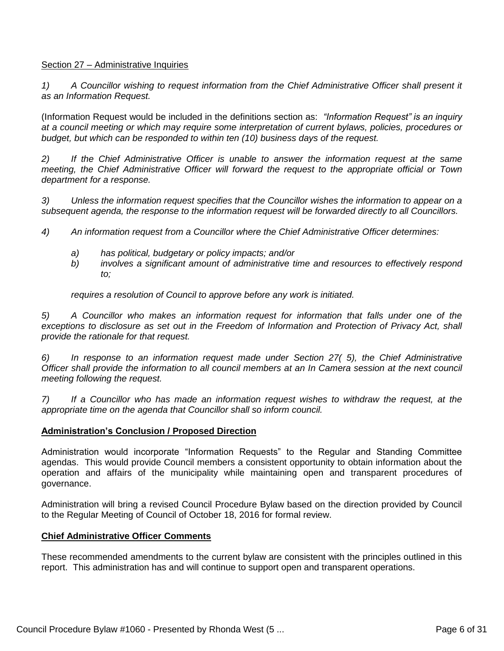#### Section 27 – Administrative Inquiries

*1) A Councillor wishing to request information from the Chief Administrative Officer shall present it as an Information Request.*

(Information Request would be included in the definitions section as: *"Information Request" is an inquiry at a council meeting or which may require some interpretation of current bylaws, policies, procedures or budget, but which can be responded to within ten (10) business days of the request.*

*2) If the Chief Administrative Officer is unable to answer the information request at the same meeting, the Chief Administrative Officer will forward the request to the appropriate official or Town department for a response.*

*3) Unless the information request specifies that the Councillor wishes the information to appear on a subsequent agenda, the response to the information request will be forwarded directly to all Councillors.*

*4) An information request from a Councillor where the Chief Administrative Officer determines:*

- *a) has political, budgetary or policy impacts; and/or*
- *b) involves a significant amount of administrative time and resources to effectively respond to;*

*requires a resolution of Council to approve before any work is initiated.*

*5) A Councillor who makes an information request for information that falls under one of the exceptions to disclosure as set out in the Freedom of Information and Protection of Privacy Act, shall provide the rationale for that request.*

*6) In response to an information request made under Section 27( 5), the Chief Administrative Officer shall provide the information to all council members at an In Camera session at the next council meeting following the request.*

*7) If a Councillor who has made an information request wishes to withdraw the request, at the appropriate time on the agenda that Councillor shall so inform council.*

#### **Administration's Conclusion / Proposed Direction**

Administration would incorporate "Information Requests" to the Regular and Standing Committee agendas. This would provide Council members a consistent opportunity to obtain information about the operation and affairs of the municipality while maintaining open and transparent procedures of governance.

Administration will bring a revised Council Procedure Bylaw based on the direction provided by Council to the Regular Meeting of Council of October 18, 2016 for formal review.

#### **Chief Administrative Officer Comments**

These recommended amendments to the current bylaw are consistent with the principles outlined in this report. This administration has and will continue to support open and transparent operations.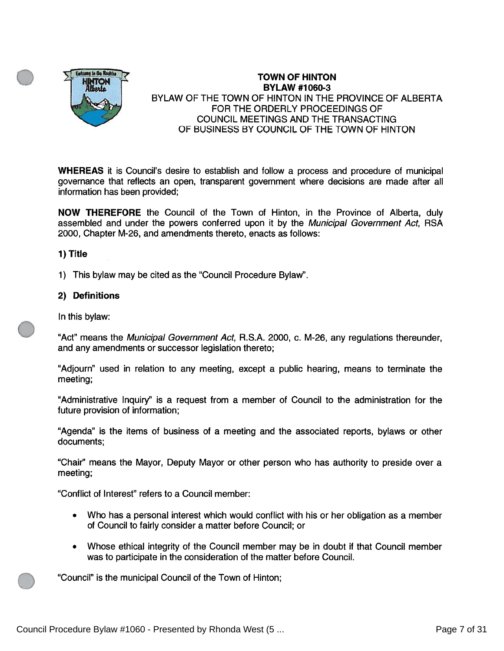

#### **TOWN OF HINTON BYLAW #1060-3** BYLAW OF THE TOWN OF HINTON IN THE PROVINCE OF ALBERTA FOR THE ORDERLY PROCEEDINGS OF COUNCIL MEETINGS AND THE TRANSACTING OF BUSINESS BY COUNCIL OF THE TOWN OF HINTON

**WHEREAS** it is Council's desire to establish and follow a process and procedure of municipal governance that reflects an open, transparent government where decisions are made after all information has been provided;

NOW THEREFORE the Council of the Town of Hinton, in the Province of Alberta, duly assembled and under the powers conferred upon it by the Municipal Government Act, RSA 2000, Chapter M-26, and amendments thereto, enacts as follows:

#### 1) Title

1) This bylaw may be cited as the "Council Procedure Bylaw".

# 2) Definitions

In this bylaw:

"Act" means the Municipal Government Act, R.S.A. 2000, c. M-26, any regulations thereunder, and any amendments or successor legislation thereto;

"Adjourn" used in relation to any meeting, except a public hearing, means to terminate the meeting;

"Administrative Inquiry" is a request from a member of Council to the administration for the future provision of information;

"Agenda" is the items of business of a meeting and the associated reports, bylaws or other documents:

"Chair" means the Mayor, Deputy Mayor or other person who has authority to preside over a meeting;

"Conflict of Interest" refers to a Council member:

- Who has a personal interest which would conflict with his or her obligation as a member of Council to fairly consider a matter before Council; or
- Whose ethical integrity of the Council member may be in doubt if that Council member was to participate in the consideration of the matter before Council.

"Council" is the municipal Council of the Town of Hinton;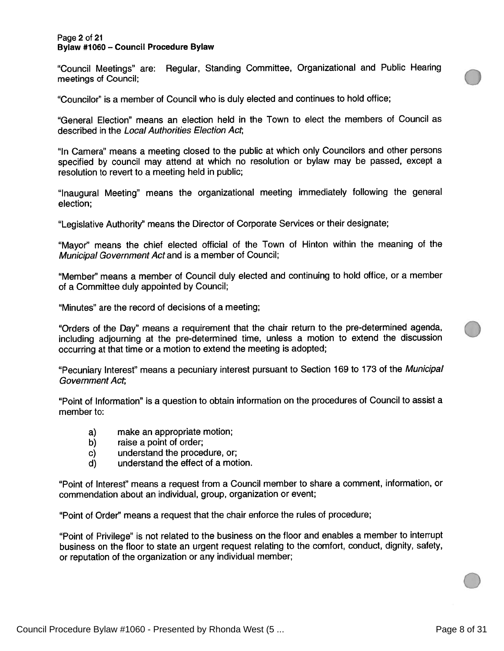#### Page 2 of 21 Bylaw #1060 - Council Procedure Bylaw

"Council Meetings" are: Regular, Standing Committee, Organizational and Public Hearing meetings of Council;

"Councilor" is a member of Council who is duly elected and continues to hold office;

"General Election" means an election held in the Town to elect the members of Council as described in the Local Authorities Election Act,

"In Camera" means a meeting closed to the public at which only Councilors and other persons specified by council may attend at which no resolution or bylaw may be passed, except a resolution to revert to a meeting held in public;

"Inaugural Meeting" means the organizational meeting immediately following the general election;

"Legislative Authority" means the Director of Corporate Services or their designate;

"Mayor" means the chief elected official of the Town of Hinton within the meaning of the Municipal Government Act and is a member of Council;

"Member" means a member of Council duly elected and continuing to hold office, or a member of a Committee duly appointed by Council;

"Minutes" are the record of decisions of a meeting;

"Orders of the Day" means a requirement that the chair return to the pre-determined agenda, including adjourning at the pre-determined time, unless a motion to extend the discussion occurring at that time or a motion to extend the meeting is adopted;

"Pecuniary Interest" means a pecuniary interest pursuant to Section 169 to 173 of the Municipal Government Act,

"Point of Information" is a question to obtain information on the procedures of Council to assist a member to:

- make an appropriate motion; a)
- raise a point of order;  $b)$
- understand the procedure, or:  $\mathsf{C}$
- understand the effect of a motion.  $\mathbf{d}$

"Point of Interest" means a request from a Council member to share a comment, information, or commendation about an individual, group, organization or event;

"Point of Order" means a request that the chair enforce the rules of procedure;

"Point of Privilege" is not related to the business on the floor and enables a member to interrupt business on the floor to state an urgent request relating to the comfort, conduct, dignity, safety, or reputation of the organization or any individual member;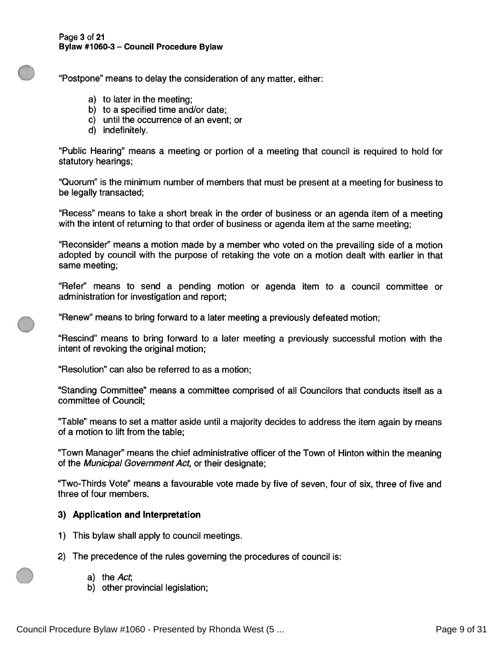"Postpone" means to delay the consideration of any matter, either:

- a) to later in the meeting;
- b) to a specified time and/or date:
- c) until the occurrence of an event: or
- d) indefinitely.

"Public Hearing" means a meeting or portion of a meeting that council is required to hold for statutory hearings;

"Quorum" is the minimum number of members that must be present at a meeting for business to be legally transacted;

"Recess" means to take a short break in the order of business or an agenda item of a meeting with the intent of returning to that order of business or agenda item at the same meeting;

"Reconsider" means a motion made by a member who voted on the prevailing side of a motion adopted by council with the purpose of retaking the vote on a motion dealt with earlier in that same meeting:

"Refer" means to send a pending motion or agenda item to a council committee or administration for investigation and report:

"Renew" means to bring forward to a later meeting a previously defeated motion;

"Rescind" means to bring forward to a later meeting a previously successful motion with the intent of revoking the original motion;

"Resolution" can also be referred to as a motion;

"Standing Committee" means a committee comprised of all Councilors that conducts itself as a committee of Council;

"Table" means to set a matter aside until a majority decides to address the item again by means of a motion to lift from the table;

"Town Manager" means the chief administrative officer of the Town of Hinton within the meaning of the Municipal Government Act, or their designate;

"Two-Thirds Vote" means a favourable vote made by five of seven, four of six, three of five and three of four members.

#### 3) Application and Interpretation

- 1) This by law shall apply to council meetings.
- 2) The precedence of the rules governing the procedures of council is:
	- a) the Act,
	- b) other provincial legislation;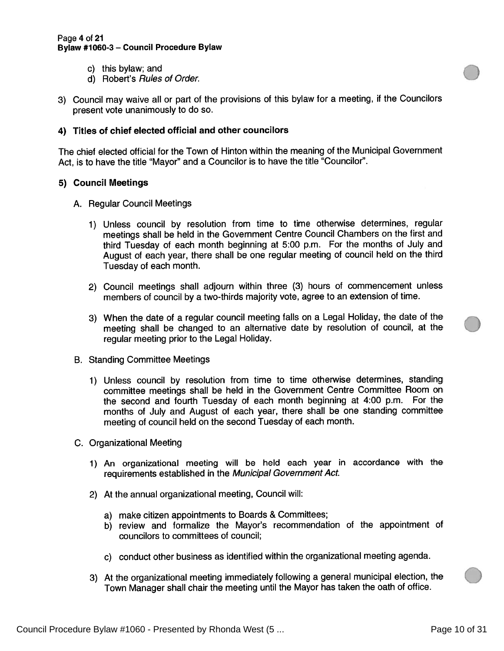#### Page 4 of 21 Bylaw #1060-3 - Council Procedure Bylaw

- c) this bylaw; and
- d) Robert's Rules of Order.
- 3) Council may waive all or part of the provisions of this bylaw for a meeting, if the Councilors present vote unanimously to do so.

#### 4) Titles of chief elected official and other councilors

The chief elected official for the Town of Hinton within the meaning of the Municipal Government Act, is to have the title "Mayor" and a Councilor is to have the title "Councilor".

#### 5) Council Meetings

- A. Regular Council Meetings
	- 1) Unless council by resolution from time to time otherwise determines, regular meetings shall be held in the Government Centre Council Chambers on the first and third Tuesday of each month beginning at 5:00 p.m. For the months of July and August of each year, there shall be one regular meeting of council held on the third Tuesday of each month.
	- 2) Council meetings shall adjourn within three (3) hours of commencement unless members of council by a two-thirds majority vote, agree to an extension of time.
	- 3) When the date of a regular council meeting falls on a Legal Holiday, the date of the meeting shall be changed to an alternative date by resolution of council, at the regular meeting prior to the Legal Holiday.
- **B.** Standing Committee Meetings
	- 1) Unless council by resolution from time to time otherwise determines, standing committee meetings shall be held in the Government Centre Committee Room on the second and fourth Tuesday of each month beginning at 4:00 p.m. For the months of July and August of each year, there shall be one standing committee meeting of council held on the second Tuesday of each month.
- C. Organizational Meeting
	- 1) An organizational meeting will be held each year in accordance with the requirements established in the Municipal Government Act.
	- 2) At the annual organizational meeting, Council will:
		- a) make citizen appointments to Boards & Committees;
		- b) review and formalize the Mayor's recommendation of the appointment of councilors to committees of council;
		- c) conduct other business as identified within the organizational meeting agenda.
	- 3) At the organizational meeting immediately following a general municipal election, the Town Manager shall chair the meeting until the Mayor has taken the oath of office.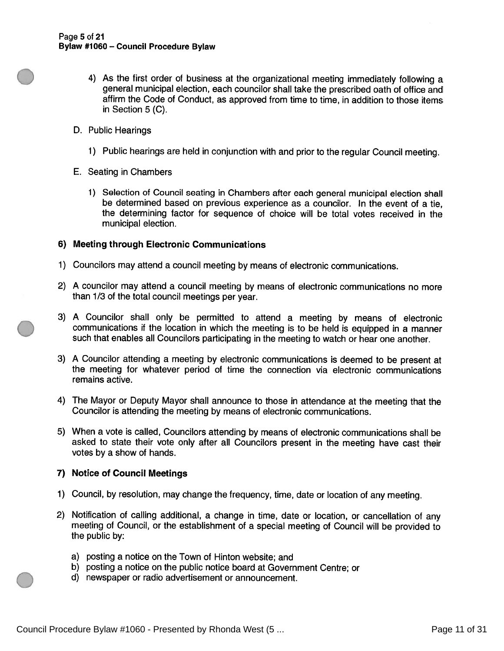- 4) As the first order of business at the organizational meeting immediately following a general municipal election, each councilor shall take the prescribed oath of office and affirm the Code of Conduct, as approved from time to time, in addition to those items in Section 5 (C).
- D. Public Hearings
	- 1) Public hearings are held in conjunction with and prior to the regular Council meeting.
- E. Seating in Chambers
	- 1) Selection of Council seating in Chambers after each general municipal election shall be determined based on previous experience as a councilor. In the event of a tie, the determining factor for sequence of choice will be total votes received in the municipal election.

#### 6) Meeting through Electronic Communications

- 1) Councilors may attend a council meeting by means of electronic communications.
- 2) A councilor may attend a council meeting by means of electronic communications no more than 1/3 of the total council meetings per year.
- 3) A Councilor shall only be permitted to attend a meeting by means of electronic communications if the location in which the meeting is to be held is equipped in a manner such that enables all Councilors participating in the meeting to watch or hear one another.
- 3) A Councilor attending a meeting by electronic communications is deemed to be present at the meeting for whatever period of time the connection via electronic communications remains active.
- 4) The Mayor or Deputy Mayor shall announce to those in attendance at the meeting that the Councilor is attending the meeting by means of electronic communications.
- 5) When a vote is called, Councilors attending by means of electronic communications shall be asked to state their vote only after all Councilors present in the meeting have cast their votes by a show of hands.

#### 7) Notice of Council Meetings

- 1) Council, by resolution, may change the frequency, time, date or location of any meeting.
- 2) Notification of calling additional, a change in time, date or location, or cancellation of any meeting of Council, or the establishment of a special meeting of Council will be provided to the public by:
	- a) posting a notice on the Town of Hinton website; and
	- b) posting a notice on the public notice board at Government Centre; or
	- d) newspaper or radio advertisement or announcement.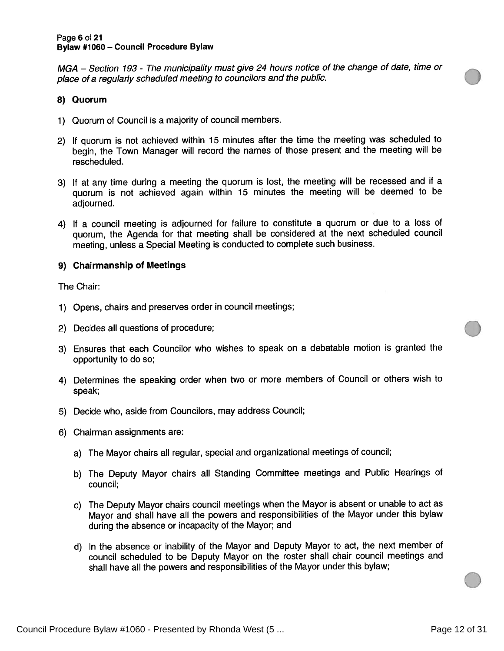MGA - Section 193 - The municipality must give 24 hours notice of the change of date, time or place of a regularly scheduled meeting to councilors and the public.

#### 8) Quorum

- 1) Quorum of Council is a majority of council members.
- 2) If quorum is not achieved within 15 minutes after the time the meeting was scheduled to begin, the Town Manager will record the names of those present and the meeting will be rescheduled.
- 3) If at any time during a meeting the quorum is lost, the meeting will be recessed and if a quorum is not achieved again within 15 minutes the meeting will be deemed to be adjourned.
- 4) If a council meeting is adjourned for failure to constitute a quorum or due to a loss of quorum, the Agenda for that meeting shall be considered at the next scheduled council meeting, unless a Special Meeting is conducted to complete such business.

#### 9) Chairmanship of Meetings

The Chair:

- 1) Opens, chairs and preserves order in council meetings;
- 2) Decides all questions of procedure;
- 3) Ensures that each Councilor who wishes to speak on a debatable motion is granted the opportunity to do so;
- 4) Determines the speaking order when two or more members of Council or others wish to speak:
- 5) Decide who, aside from Councilors, may address Council;
- 6) Chairman assignments are:
	- a) The Mayor chairs all regular, special and organizational meetings of council;
	- b) The Deputy Mayor chairs all Standing Committee meetings and Public Hearings of council;
	- c) The Deputy Mayor chairs council meetings when the Mayor is absent or unable to act as Mayor and shall have all the powers and responsibilities of the Mayor under this bylaw during the absence or incapacity of the Mayor; and
	- d) In the absence or inability of the Mayor and Deputy Mayor to act, the next member of council scheduled to be Deputy Mayor on the roster shall chair council meetings and shall have all the powers and responsibilities of the Mayor under this bylaw;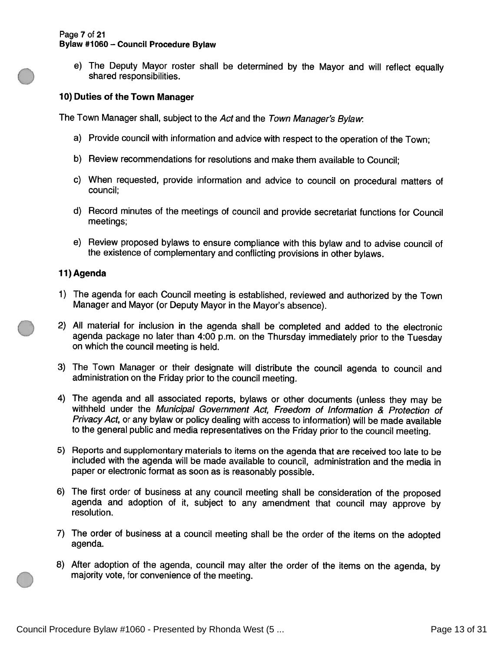e) The Deputy Mayor roster shall be determined by the Mayor and will reflect equally shared responsibilities.

#### 10) Duties of the Town Manager

The Town Manager shall, subject to the Act and the Town Manager's Bylaw:

- a) Provide council with information and advice with respect to the operation of the Town;
- b) Review recommendations for resolutions and make them available to Council:
- c) When requested, provide information and advice to council on procedural matters of council:
- d) Record minutes of the meetings of council and provide secretariat functions for Council meetings;
- e) Review proposed bylaws to ensure compliance with this bylaw and to advise council of the existence of complementary and conflicting provisions in other bylaws.

#### 11) Agenda

- 1) The agenda for each Council meeting is established, reviewed and authorized by the Town Manager and Mayor (or Deputy Mayor in the Mayor's absence).
- 2) All material for inclusion in the agenda shall be completed and added to the electronic agenda package no later than 4:00 p.m. on the Thursday immediately prior to the Tuesday on which the council meeting is held.
- 3) The Town Manager or their designate will distribute the council agenda to council and administration on the Friday prior to the council meeting.
- 4) The agenda and all associated reports, bylaws or other documents (unless they may be withheld under the Municipal Government Act, Freedom of Information & Protection of Privacy Act, or any bylaw or policy dealing with access to information) will be made available to the general public and media representatives on the Friday prior to the council meeting.
- 5) Reports and supplementary materials to items on the agenda that are received too late to be included with the agenda will be made available to council, administration and the media in paper or electronic format as soon as is reasonably possible.
- 6) The first order of business at any council meeting shall be consideration of the proposed agenda and adoption of it, subject to any amendment that council may approve by resolution.
- 7) The order of business at a council meeting shall be the order of the items on the adopted agenda.
- 8) After adoption of the agenda, council may alter the order of the items on the agenda, by majority vote, for convenience of the meeting.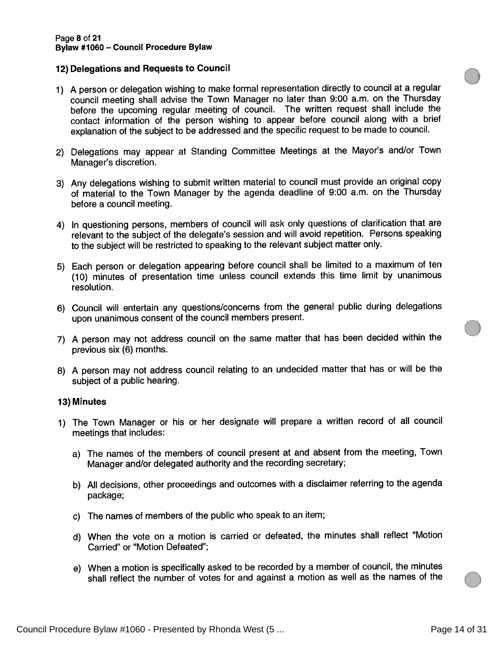#### Page 8 of 21 **Bylaw #1060 - Council Procedure Bylaw**

#### 12) Delegations and Requests to Council

- 1) A person or delegation wishing to make formal representation directly to council at a regular council meeting shall advise the Town Manager no later than 9:00 a.m. on the Thursday before the upcoming regular meeting of council. The written request shall include the contact information of the person wishing to appear before council along with a brief explanation of the subject to be addressed and the specific request to be made to council.
- 2) Delegations may appear at Standing Committee Meetings at the Mayor's and/or Town Manager's discretion.
- 3) Any delegations wishing to submit written material to council must provide an original copy of material to the Town Manager by the agenda deadline of 9:00 a.m. on the Thursday before a council meeting.
- 4) In questioning persons, members of council will ask only questions of clarification that are relevant to the subject of the delegate's session and will avoid repetition. Persons speaking to the subject will be restricted to speaking to the relevant subject matter only.
- 5) Each person or delegation appearing before council shall be limited to a maximum of ten (10) minutes of presentation time unless council extends this time limit by unanimous resolution.
- 6) Council will entertain any questions/concerns from the general public during delegations upon unanimous consent of the council members present.
- 7) A person may not address council on the same matter that has been decided within the previous six (6) months.
- 8) A person may not address council relating to an undecided matter that has or will be the subject of a public hearing.

#### 13) Minutes

- 1) The Town Manager or his or her designate will prepare a written record of all council meetings that includes:
	- a) The names of the members of council present at and absent from the meeting, Town Manager and/or delegated authority and the recording secretary;
	- b) All decisions, other proceedings and outcomes with a disclaimer referring to the agenda package;
	- c) The names of members of the public who speak to an item;
	- d) When the vote on a motion is carried or defeated, the minutes shall reflect "Motion Carried" or "Motion Defeated";
	- e) When a motion is specifically asked to be recorded by a member of council, the minutes shall reflect the number of votes for and against a motion as well as the names of the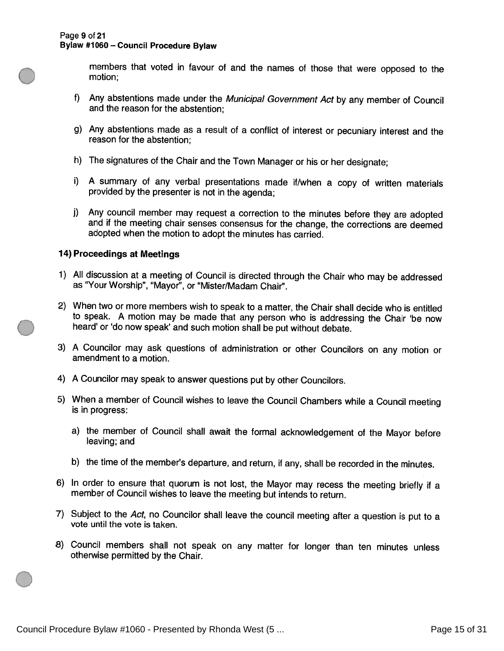members that voted in favour of and the names of those that were opposed to the motion:

- f) Any abstentions made under the Municipal Government Act by any member of Council and the reason for the abstention;
- g) Any abstentions made as a result of a conflict of interest or pecuniary interest and the reason for the abstention:
- h) The signatures of the Chair and the Town Manager or his or her designate;
- i) A summary of any verbal presentations made if/when a copy of written materials provided by the presenter is not in the agenda:
- j) Any council member may request a correction to the minutes before they are adopted and if the meeting chair senses consensus for the change, the corrections are deemed adopted when the motion to adopt the minutes has carried.

#### 14) Proceedings at Meetings

- 1) All discussion at a meeting of Council is directed through the Chair who may be addressed as "Your Worship", "Mayor", or "Mister/Madam Chair".
- 2) When two or more members wish to speak to a matter, the Chair shall decide who is entitled to speak. A motion may be made that any person who is addressing the Chair 'be now heard' or 'do now speak' and such motion shall be put without debate.
- 3) A Councilor may ask questions of administration or other Councilors on any motion or amendment to a motion.
- 4) A Councilor may speak to answer questions put by other Councilors.
- 5) When a member of Council wishes to leave the Council Chambers while a Council meeting is in progress:
	- a) the member of Council shall await the formal acknowledgement of the Mayor before leaving; and
	- b) the time of the member's departure, and return, if any, shall be recorded in the minutes.
- 6) In order to ensure that quorum is not lost, the Mayor may recess the meeting briefly if a member of Council wishes to leave the meeting but intends to return.
- 7) Subject to the Act, no Councilor shall leave the council meeting after a question is put to a vote until the vote is taken.
- 8) Council members shall not speak on any matter for longer than ten minutes unless otherwise permitted by the Chair.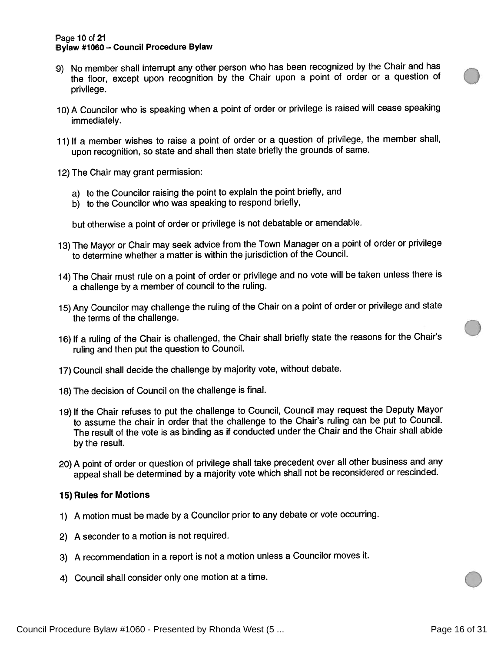#### Page 10 of 21 Bylaw #1060 - Council Procedure Bylaw

- 9) No member shall interrupt any other person who has been recognized by the Chair and has the floor, except upon recognition by the Chair upon a point of order or a question of privilege.
- 10) A Councilor who is speaking when a point of order or privilege is raised will cease speaking immediately.
- 11) If a member wishes to raise a point of order or a question of privilege, the member shall, upon recognition, so state and shall then state briefly the grounds of same.
- 12) The Chair may grant permission:
	- a) to the Councilor raising the point to explain the point briefly, and
	- b) to the Councilor who was speaking to respond briefly,

but otherwise a point of order or privilege is not debatable or amendable.

- 13) The Mayor or Chair may seek advice from the Town Manager on a point of order or privilege to determine whether a matter is within the jurisdiction of the Council.
- 14) The Chair must rule on a point of order or privilege and no vote will be taken unless there is a challenge by a member of council to the ruling.
- 15) Any Councilor may challenge the ruling of the Chair on a point of order or privilege and state the terms of the challenge.
- 16) If a ruling of the Chair is challenged, the Chair shall briefly state the reasons for the Chair's ruling and then put the question to Council.
- 17) Council shall decide the challenge by majority vote, without debate.
- 18) The decision of Council on the challenge is final.
- 19) If the Chair refuses to put the challenge to Council, Council may request the Deputy Mayor to assume the chair in order that the challenge to the Chair's ruling can be put to Council. The result of the vote is as binding as if conducted under the Chair and the Chair shall abide by the result.
- 20) A point of order or question of privilege shall take precedent over all other business and any appeal shall be determined by a majority vote which shall not be reconsidered or rescinded.

#### 15) Rules for Motions

- 1) A motion must be made by a Councilor prior to any debate or vote occurring.
- 2) A seconder to a motion is not required.
- 3) A recommendation in a report is not a motion unless a Councilor moves it.
- 4) Council shall consider only one motion at a time.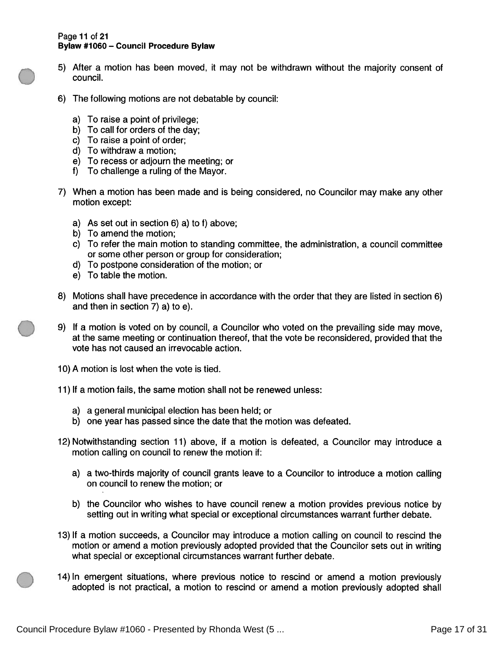#### Page 11 of 21 Bylaw #1060 - Council Procedure Bylaw

- 5) After a motion has been moved, it may not be withdrawn without the majority consent of council.
- 6) The following motions are not debatable by council:
	- a) To raise a point of privilege;
	- b) To call for orders of the day;
	- c) To raise a point of order;
	- d) To withdraw a motion;
	- e) To recess or adjourn the meeting; or
	- f) To challenge a ruling of the Mayor.
- 7) When a motion has been made and is being considered, no Councilor may make any other motion except:
	- a) As set out in section  $6$ ) a) to f) above;
	- b) To amend the motion;
	- c) To refer the main motion to standing committee, the administration, a council committee or some other person or group for consideration;
	- d) To postpone consideration of the motion; or
	- e) To table the motion.
- 8) Motions shall have precedence in accordance with the order that they are listed in section 6) and then in section 7) a) to e).
- 9) If a motion is voted on by council, a Councilor who voted on the prevailing side may move, at the same meeting or continuation thereof, that the vote be reconsidered, provided that the vote has not caused an irrevocable action.
- 10) A motion is lost when the vote is tied.
- 11) If a motion fails, the same motion shall not be renewed unless:
	- a) a general municipal election has been held; or
	- b) one year has passed since the date that the motion was defeated.
- 12) Notwithstanding section 11) above, if a motion is defeated, a Councilor may introduce a motion calling on council to renew the motion if:
	- a) a two-thirds majority of council grants leave to a Councilor to introduce a motion calling on council to renew the motion; or
	- b) the Councilor who wishes to have council renew a motion provides previous notice by setting out in writing what special or exceptional circumstances warrant further debate.
- 13) If a motion succeeds, a Councilor may introduce a motion calling on council to rescind the motion or amend a motion previously adopted provided that the Councilor sets out in writing what special or exceptional circumstances warrant further debate.
- 14) In emergent situations, where previous notice to rescind or amend a motion previously adopted is not practical, a motion to rescind or amend a motion previously adopted shall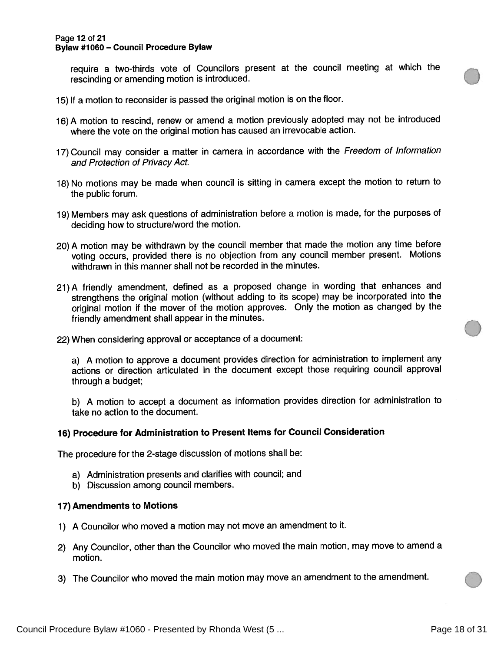require a two-thirds vote of Councilors present at the council meeting at which the rescinding or amending motion is introduced.

- 15) If a motion to reconsider is passed the original motion is on the floor.
- 16) A motion to rescind, renew or amend a motion previously adopted may not be introduced where the vote on the original motion has caused an irrevocable action.
- 17) Council may consider a matter in camera in accordance with the Freedom of Information and Protection of Privacy Act.
- 18) No motions may be made when council is sitting in camera except the motion to return to the public forum.
- 19) Members may ask questions of administration before a motion is made, for the purposes of deciding how to structure/word the motion.
- 20) A motion may be withdrawn by the council member that made the motion any time before voting occurs, provided there is no objection from any council member present. Motions withdrawn in this manner shall not be recorded in the minutes.
- 21) A friendly amendment, defined as a proposed change in wording that enhances and strengthens the original motion (without adding to its scope) may be incorporated into the original motion if the mover of the motion approves. Only the motion as changed by the friendly amendment shall appear in the minutes.
- 22) When considering approval or acceptance of a document:

a) A motion to approve a document provides direction for administration to implement any actions or direction articulated in the document except those requiring council approval through a budget;

b) A motion to accept a document as information provides direction for administration to take no action to the document.

# 16) Procedure for Administration to Present Items for Council Consideration

The procedure for the 2-stage discussion of motions shall be:

- a) Administration presents and clarifies with council; and
- b) Discussion among council members.

#### 17) Amendments to Motions

- 1) A Councilor who moved a motion may not move an amendment to it.
- 2) Any Councilor, other than the Councilor who moved the main motion, may move to amend a motion.
- 3) The Councilor who moved the main motion may move an amendment to the amendment.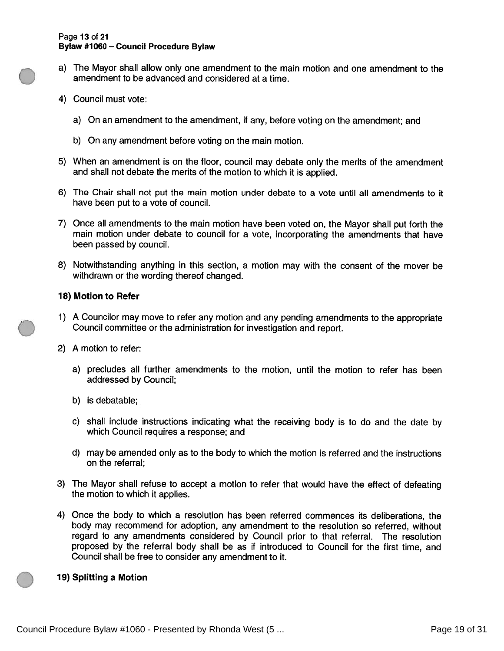#### Page 13 of 21 Bylaw #1060 - Council Procedure Bylaw

- a) The Mayor shall allow only one amendment to the main motion and one amendment to the amendment to be advanced and considered at a time.
- 4) Council must vote:
	- a) On an amendment to the amendment, if any, before voting on the amendment; and
	- b) On any amendment before voting on the main motion.
- 5) When an amendment is on the floor, council may debate only the merits of the amendment and shall not debate the merits of the motion to which it is applied.
- 6) The Chair shall not put the main motion under debate to a vote until all amendments to it have been put to a vote of council.
- 7) Once all amendments to the main motion have been voted on, the Mayor shall put forth the main motion under debate to council for a vote, incorporating the amendments that have been passed by council.
- 8) Notwithstanding anything in this section, a motion may with the consent of the mover be withdrawn or the wording thereof changed.

#### 18) Motion to Refer

- 1) A Councilor may move to refer any motion and any pending amendments to the appropriate Council committee or the administration for investigation and report.
- 2) A motion to refer:
	- a) precludes all further amendments to the motion, until the motion to refer has been addressed by Council;
	- b) is debatable;
	- c) shall include instructions indicating what the receiving body is to do and the date by which Council requires a response; and
	- d) may be amended only as to the body to which the motion is referred and the instructions on the referral:
- 3) The Mayor shall refuse to accept a motion to refer that would have the effect of defeating the motion to which it applies.
- 4) Once the body to which a resolution has been referred commences its deliberations, the body may recommend for adoption, any amendment to the resolution so referred, without regard to any amendments considered by Council prior to that referral. The resolution proposed by the referral body shall be as if introduced to Council for the first time, and Council shall be free to consider any amendment to it.

#### 19) Splitting a Motion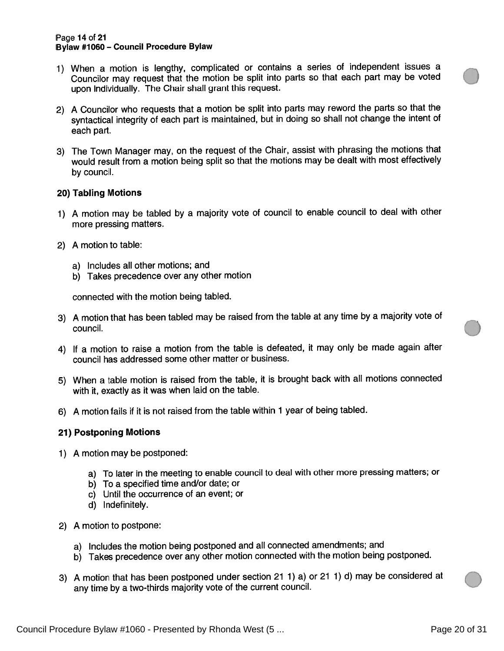#### Page 14 of 21 Bylaw #1060 - Council Procedure Bylaw

- 1) When a motion is lengthy, complicated or contains a series of independent issues a Councilor may request that the motion be split into parts so that each part may be voted upon individually. The Chair shall grant this request.
- 2) A Councilor who requests that a motion be split into parts may reword the parts so that the syntactical integrity of each part is maintained, but in doing so shall not change the intent of each part.
- 3) The Town Manager may, on the request of the Chair, assist with phrasing the motions that would result from a motion being split so that the motions may be dealt with most effectively by council.

#### 20) Tabling Motions

- 1) A motion may be tabled by a majority vote of council to enable council to deal with other more pressing matters.
- 2) A motion to table:
	- a) Includes all other motions; and
	- b) Takes precedence over any other motion

connected with the motion being tabled.

- 3) A motion that has been tabled may be raised from the table at any time by a majority vote of council.
- 4) If a motion to raise a motion from the table is defeated, it may only be made again after council has addressed some other matter or business.
- 5) When a table motion is raised from the table, it is brought back with all motions connected with it, exactly as it was when laid on the table.
- 6) A motion fails if it is not raised from the table within 1 year of being tabled.

#### 21) Postponing Motions

- 1) A motion may be postponed:
	- a) To later in the meeting to enable council to deal with other more pressing matters; or
	- b) To a specified time and/or date; or
	- c) Until the occurrence of an event; or
	- d) Indefinitely.
- 2) A motion to postpone:
	- a) Includes the motion being postponed and all connected amendments; and
	- b) Takes precedence over any other motion connected with the motion being postponed.
- 3) A motion that has been postponed under section 21 1) a) or 21 1) d) may be considered at any time by a two-thirds majority vote of the current council.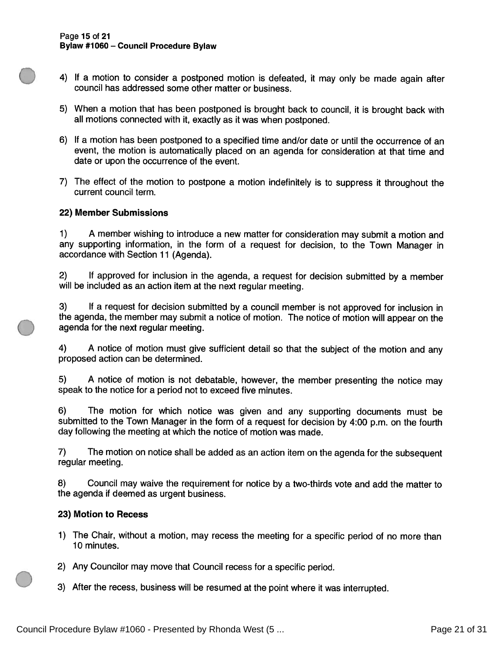- 4) If a motion to consider a postponed motion is defeated, it may only be made again after council has addressed some other matter or business.
- 5) When a motion that has been postponed is brought back to council, it is brought back with all motions connected with it, exactly as it was when postponed.
- 6) If a motion has been postponed to a specified time and/or date or until the occurrence of an event, the motion is automatically placed on an agenda for consideration at that time and date or upon the occurrence of the event.
- 7) The effect of the motion to postpone a motion indefinitely is to suppress it throughout the current council term.

#### 22) Member Submissions

 $\left| \right|$ A member wishing to introduce a new matter for consideration may submit a motion and any supporting information, in the form of a request for decision, to the Town Manager in accordance with Section 11 (Agenda).

If approved for inclusion in the agenda, a request for decision submitted by a member  $2)$ will be included as an action item at the next regular meeting.

3) If a request for decision submitted by a council member is not approved for inclusion in the agenda, the member may submit a notice of motion. The notice of motion will appear on the agenda for the next regular meeting.

4) A notice of motion must give sufficient detail so that the subject of the motion and any proposed action can be determined.

A notice of motion is not debatable, however, the member presenting the notice may 5) speak to the notice for a period not to exceed five minutes.

6) The motion for which notice was given and any supporting documents must be submitted to the Town Manager in the form of a request for decision by 4:00 p.m. on the fourth day following the meeting at which the notice of motion was made.

The motion on notice shall be added as an action item on the agenda for the subsequent 7) regular meeting.

8) Council may waive the requirement for notice by a two-thirds vote and add the matter to the agenda if deemed as urgent business.

#### 23) Motion to Recess

- 1) The Chair, without a motion, may recess the meeting for a specific period of no more than 10 minutes.
- 2) Any Councilor may move that Council recess for a specific period.
- 3) After the recess, business will be resumed at the point where it was interrupted.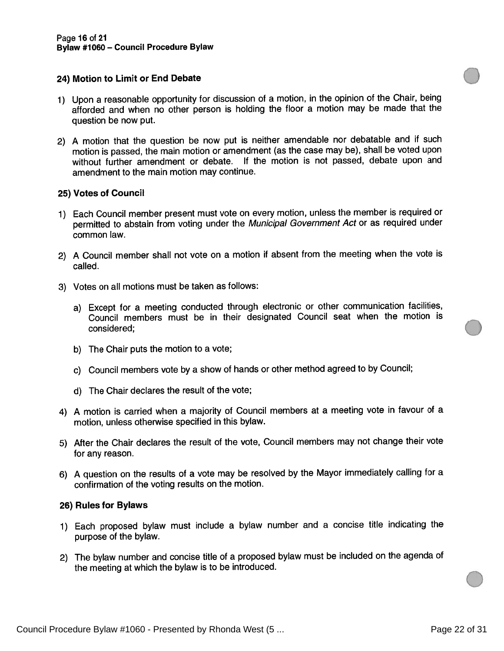#### 24) Motion to Limit or End Debate

- 1) Upon a reasonable opportunity for discussion of a motion, in the opinion of the Chair, being afforded and when no other person is holding the floor a motion may be made that the question be now put.
- 2) A motion that the question be now put is neither amendable nor debatable and if such motion is passed, the main motion or amendment (as the case may be), shall be voted upon without further amendment or debate. If the motion is not passed, debate upon and amendment to the main motion may continue.

#### 25) Votes of Council

- 1) Each Council member present must vote on every motion, unless the member is required or permitted to abstain from voting under the Municipal Government Act or as required under common law.
- 2) A Council member shall not vote on a motion if absent from the meeting when the vote is called.
- 3) Votes on all motions must be taken as follows:
	- a) Except for a meeting conducted through electronic or other communication facilities, Council members must be in their designated Council seat when the motion is considered:
	- b) The Chair puts the motion to a vote;
	- c) Council members vote by a show of hands or other method agreed to by Council;
	- d) The Chair declares the result of the vote;
- 4) A motion is carried when a majority of Council members at a meeting vote in favour of a motion, unless otherwise specified in this bylaw.
- 5) After the Chair declares the result of the vote, Council members may not change their vote for any reason.
- 6) A question on the results of a vote may be resolved by the Mayor immediately calling for a confirmation of the voting results on the motion.

#### 26) Rules for Bylaws

- 1) Each proposed bylaw must include a bylaw number and a concise title indicating the purpose of the bylaw.
- 2) The bylaw number and concise title of a proposed bylaw must be included on the agenda of the meeting at which the bylaw is to be introduced.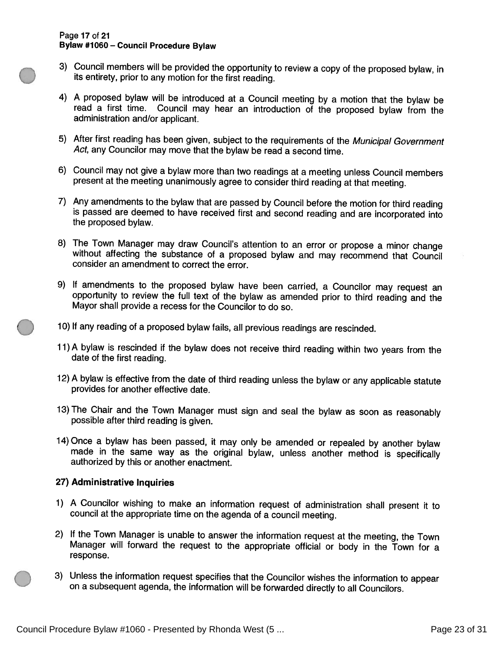#### Page 17 of 21 Bylaw #1060 - Council Procedure Bylaw

- 3) Council members will be provided the opportunity to review a copy of the proposed bylaw, in its entirety, prior to any motion for the first reading.
- 4) A proposed bylaw will be introduced at a Council meeting by a motion that the bylaw be read a first time. Council may hear an introduction of the proposed bylaw from the administration and/or applicant.
- 5) After first reading has been given, subject to the requirements of the Municipal Government Act, any Councilor may move that the bylaw be read a second time.
- 6) Council may not give a bylaw more than two readings at a meeting unless Council members present at the meeting unanimously agree to consider third reading at that meeting.
- 7) Any amendments to the bylaw that are passed by Council before the motion for third reading is passed are deemed to have received first and second reading and are incorporated into the proposed bylaw.
- 8) The Town Manager may draw Council's attention to an error or propose a minor change without affecting the substance of a proposed bylaw and may recommend that Council consider an amendment to correct the error.
- 9) If amendments to the proposed bylaw have been carried, a Councilor may request an opportunity to review the full text of the bylaw as amended prior to third reading and the Mayor shall provide a recess for the Councilor to do so.
- 10) If any reading of a proposed bylaw fails, all previous readings are rescinded.
- 11) A bylaw is rescinded if the bylaw does not receive third reading within two years from the date of the first reading.
- 12) A bylaw is effective from the date of third reading unless the bylaw or any applicable statute provides for another effective date.
- 13) The Chair and the Town Manager must sign and seal the bylaw as soon as reasonably possible after third reading is given.
- 14) Once a bylaw has been passed, it may only be amended or repealed by another bylaw made in the same way as the original bylaw, unless another method is specifically authorized by this or another enactment.

#### 27) Administrative Inquiries

- 1) A Councilor wishing to make an information request of administration shall present it to council at the appropriate time on the agenda of a council meeting.
- 2) If the Town Manager is unable to answer the information request at the meeting, the Town Manager will forward the request to the appropriate official or body in the Town for a response.
- 3) Unless the information request specifies that the Councilor wishes the information to appear on a subsequent agenda, the information will be forwarded directly to all Councilors.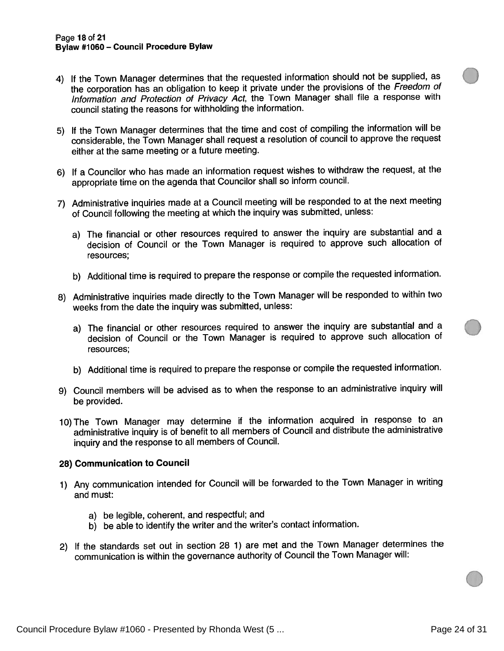- 4) If the Town Manager determines that the requested information should not be supplied, as the corporation has an obligation to keep it private under the provisions of the Freedom of Information and Protection of Privacy Act, the Town Manager shall file a response with council stating the reasons for withholding the information.
- 5) If the Town Manager determines that the time and cost of compiling the information will be considerable, the Town Manager shall request a resolution of council to approve the request either at the same meeting or a future meeting.
- 6) If a Councilor who has made an information request wishes to withdraw the request, at the appropriate time on the agenda that Councilor shall so inform council.
- 7) Administrative inquiries made at a Council meeting will be responded to at the next meeting of Council following the meeting at which the inquiry was submitted, unless:
	- a) The financial or other resources required to answer the inquiry are substantial and a decision of Council or the Town Manager is required to approve such allocation of resources:
	- b) Additional time is required to prepare the response or compile the requested information.
- 8) Administrative inquiries made directly to the Town Manager will be responded to within two weeks from the date the inquiry was submitted, unless:
	- a) The financial or other resources required to answer the inquiry are substantial and a decision of Council or the Town Manager is required to approve such allocation of resources;
	- b) Additional time is required to prepare the response or compile the requested information.
- 9) Council members will be advised as to when the response to an administrative inquiry will be provided.
- 10) The Town Manager may determine if the information acquired in response to an administrative inquiry is of benefit to all members of Council and distribute the administrative inquiry and the response to all members of Council.

#### 28) Communication to Council

- 1) Any communication intended for Council will be forwarded to the Town Manager in writing and must:
	- a) be legible, coherent, and respectful; and
	- b) be able to identify the writer and the writer's contact information.
- 2) If the standards set out in section 28 1) are met and the Town Manager determines the communication is within the governance authority of Council the Town Manager will: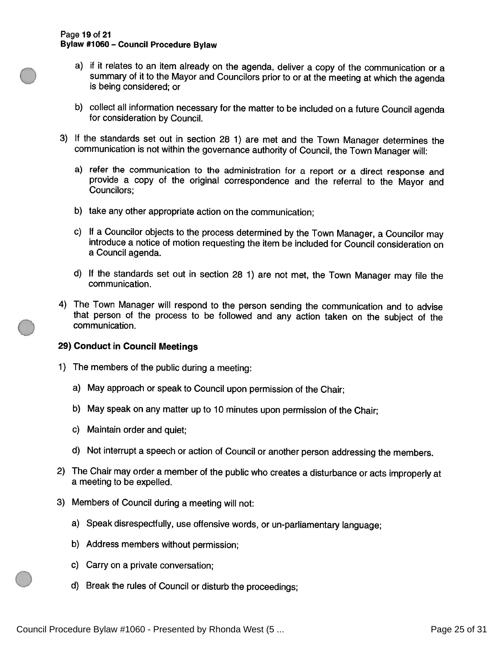- a) if it relates to an item already on the agenda, deliver a copy of the communication or a summary of it to the Mayor and Councilors prior to or at the meeting at which the agenda is being considered; or
- b) collect all information necessary for the matter to be included on a future Council agenda for consideration by Council.
- 3) If the standards set out in section 28 1) are met and the Town Manager determines the communication is not within the governance authority of Council, the Town Manager will:
	- a) refer the communication to the administration for a report or a direct response and provide a copy of the original correspondence and the referral to the Mayor and Councilors;
	- b) take any other appropriate action on the communication:
	- c) If a Councilor objects to the process determined by the Town Manager, a Councilor may introduce a notice of motion requesting the item be included for Council consideration on a Council agenda.
	- d) If the standards set out in section 28 1) are not met, the Town Manager may file the communication.
- 4) The Town Manager will respond to the person sending the communication and to advise that person of the process to be followed and any action taken on the subject of the communication.

### 29) Conduct in Council Meetings

- 1) The members of the public during a meeting:
	- a) May approach or speak to Council upon permission of the Chair;
	- b) May speak on any matter up to 10 minutes upon permission of the Chair;
	- c) Maintain order and quiet;
	- d) Not interrupt a speech or action of Council or another person addressing the members.
- 2) The Chair may order a member of the public who creates a disturbance or acts improperly at a meeting to be expelled.
- 3) Members of Council during a meeting will not:
	- a) Speak disrespectfully, use offensive words, or un-parliamentary language;
	- b) Address members without permission;
	- c) Carry on a private conversation;
	- d) Break the rules of Council or disturb the proceedings: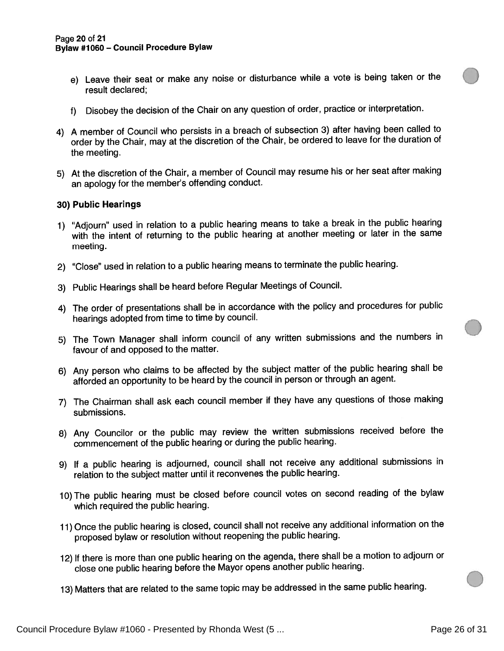- e) Leave their seat or make any noise or disturbance while a vote is being taken or the result declared:
- f) Disobey the decision of the Chair on any question of order, practice or interpretation.
- 4) A member of Council who persists in a breach of subsection 3) after having been called to order by the Chair, may at the discretion of the Chair, be ordered to leave for the duration of the meeting.
- 5) At the discretion of the Chair, a member of Council may resume his or her seat after making an apology for the member's offending conduct.

#### 30) Public Hearings

- 1) "Adjourn" used in relation to a public hearing means to take a break in the public hearing with the intent of returning to the public hearing at another meeting or later in the same meeting.
- 2) "Close" used in relation to a public hearing means to terminate the public hearing.
- 3) Public Hearings shall be heard before Regular Meetings of Council.
- 4) The order of presentations shall be in accordance with the policy and procedures for public hearings adopted from time to time by council.
- 5) The Town Manager shall inform council of any written submissions and the numbers in favour of and opposed to the matter.
- 6) Any person who claims to be affected by the subject matter of the public hearing shall be afforded an opportunity to be heard by the council in person or through an agent.
- 7) The Chairman shall ask each council member if they have any questions of those making submissions.
- 8) Any Councilor or the public may review the written submissions received before the commencement of the public hearing or during the public hearing.
- 9) If a public hearing is adjourned, council shall not receive any additional submissions in relation to the subject matter until it reconvenes the public hearing.
- 10) The public hearing must be closed before council votes on second reading of the bylaw which required the public hearing.
- 11) Once the public hearing is closed, council shall not receive any additional information on the proposed bylaw or resolution without reopening the public hearing.
- 12) If there is more than one public hearing on the agenda, there shall be a motion to adjourn or close one public hearing before the Mayor opens another public hearing.
- 13) Matters that are related to the same topic may be addressed in the same public hearing.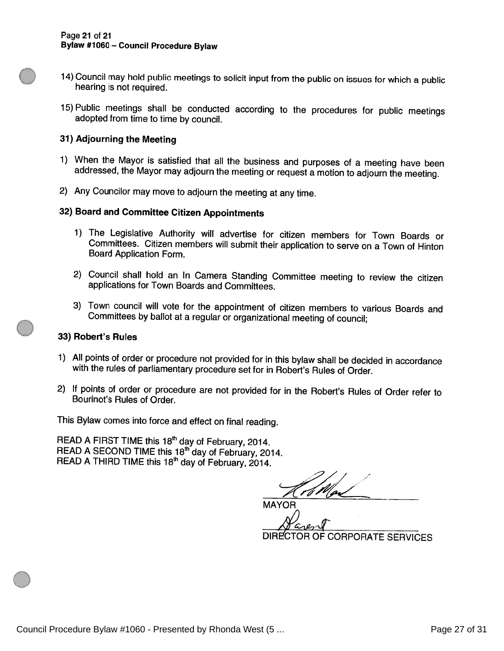- 14) Council may hold public meetings to solicit input from the public on issues for which a public hearing is not required.
- 15) Public meetings shall be conducted according to the procedures for public meetings adopted from time to time by council.

#### 31) Adjourning the Meeting

- 1) When the Mayor is satisfied that all the business and purposes of a meeting have been addressed, the Mayor may adjourn the meeting or request a motion to adjourn the meeting.
- 2) Any Councilor may move to adjourn the meeting at any time.

# 32) Board and Committee Citizen Appointments

- 1) The Legislative Authority will advertise for citizen members for Town Boards or Committees. Citizen members will submit their application to serve on a Town of Hinton Board Application Form.
- 2) Council shall hold an In Camera Standing Committee meeting to review the citizen applications for Town Boards and Committees.
- 3) Town council will vote for the appointment of citizen members to various Boards and Committees by ballot at a regular or organizational meeting of council;

#### 33) Robert's Rules

- 1) All points of order or procedure not provided for in this bylaw shall be decided in accordance with the rules of parliamentary procedure set for in Robert's Rules of Order.
- 2) If points of order or procedure are not provided for in the Robert's Rules of Order refer to Bourinot's Rules of Order

This Bylaw comes into force and effect on final reading.

READ A FIRST TIME this 18<sup>th</sup> day of February, 2014. READ A SECOND TIME this 18<sup>th</sup> day of February, 2014. READ A THIRD TIME this  $18<sup>th</sup>$  day of February, 2014.

**MAYOR** DIRECTOR OF CORPORATE SERVICES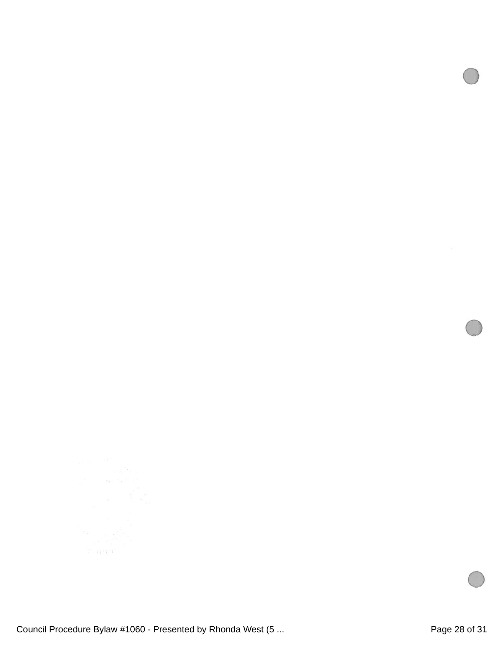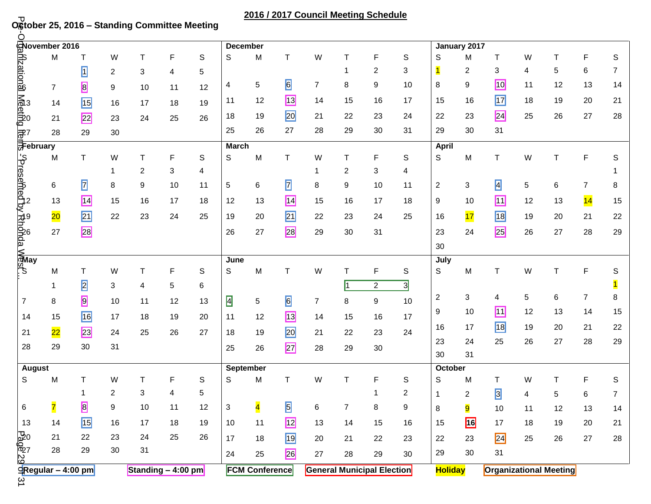# **2016 / 2017 Council Meeting Schedule**

# October 25, 2016 – Standing Committee Meeting

|                          | November 2016           |                         |                |    |                          |               |                | <b>December</b>         |                  |                  |                |                |                |                         | January 2017   |                          |    |             |                |                |
|--------------------------|-------------------------|-------------------------|----------------|----|--------------------------|---------------|----------------|-------------------------|------------------|------------------|----------------|----------------|----------------|-------------------------|----------------|--------------------------|----|-------------|----------------|----------------|
|                          | M                       | Т                       | W              | Τ  | F                        | ${\mathsf S}$ | S              | M                       | T.               | W                | Τ              | F              | S              | S                       | M              | $\mathsf T$              | W  | Τ           | F              | $\mathsf S$    |
|                          |                         | $\boxed{1}$             | $\overline{c}$ | 3  | 4                        | 5             |                |                         |                  |                  | $\mathbf{1}$   | $\overline{c}$ | 3              | $\overline{\mathbf{1}}$ | 2              | 3                        | 4  | 5           | 6              | $\overline{7}$ |
|                          |                         | $\overline{8}$          | 9              | 10 | 11                       | 12            | 4              | 5                       | $\overline{6}$   | $\boldsymbol{7}$ | 8              | 9              | 10             | 8                       | 9              | <b>10</b>                | 11 | 12          | 13             | 14             |
|                          | 14                      | <b>15</b>               | 16             | 17 | 18                       | 19            | 11             | 12                      | 13               | 14               | 15             | 16             | 17             | 15                      | 16             | 17                       | 18 | 19          | 20             | 21             |
|                          | 21                      | 22                      | 23             | 24 | 25                       | 26            | 18             | 19                      | 20               | 21               | 22             | 23             | 24             | 22                      | 23             | $\overline{24}$          | 25 | 26          | 27             | 28             |
|                          | 28                      | 29                      | 30             |    |                          |               | 25             | 26                      | 27               | 28               | 29             | 30             | 31             | 29                      | 30             | 31                       |    |             |                |                |
|                          |                         |                         |                |    |                          |               | <b>March</b>   |                         |                  |                  |                |                |                | April                   |                |                          |    |             |                |                |
|                          | M                       | $\mathsf T$             | W              | Т  | F                        | ${\mathbb S}$ | S              | M                       | т                | W                | $\sf T$        | F              | $\mathbb S$    | S                       | M              | $\mathsf T$              | W  | $\mathsf T$ | F              | ${\mathbb S}$  |
|                          |                         |                         | 1              | 2  | 3                        | 4             |                |                         |                  | $\mathbf 1$      | $\overline{c}$ | 3              | 4              |                         |                |                          |    |             |                |                |
|                          | 6                       | $\overline{z}$          | 8              | 9  | 10                       | 11            | 5              | 6                       | $\overline{z}$   | 8                | 9              | 10             | 11             | $\sqrt{2}$              | 3              | $\overline{4}$           | 5  | 6           | $\overline{7}$ | 8              |
|                          | 13                      | 14                      | 15             | 16 | 17                       | 18            | 12             | 13                      | 14               | 15               | 16             | 17             | 18             | 9                       | 10             | $\mathbf{11}$            | 12 | 13          | 14             | 15             |
|                          | 20                      | $\boxed{21}$            | 22             | 23 | 24                       | 25            | 19             | 20                      | 21               | 22               | 23             | 24             | 25             | 16                      | 17             | <b>18</b>                | 19 | 20          | 21             | 22             |
|                          | 27                      | 28                      |                |    |                          |               | 26             | 27                      | 28               | 29               | 30             | 31             |                | 23                      | 24             | 25                       | 26 | 27          | 28             | 29             |
|                          |                         |                         |                |    |                          |               |                |                         |                  |                  |                |                |                | 30                      |                |                          |    |             |                |                |
|                          |                         |                         |                |    |                          |               | June           |                         |                  |                  |                |                |                | July                    |                |                          |    |             |                |                |
| Ë.                       | M                       | $\mathsf T$             | W              | Т  | F                        | ${\mathbb S}$ | S              | M                       | т                | W                | Τ              | F              | $\mathbb S$    | S                       | M              | $\mathsf T$              | W  | Τ           | F              | S              |
|                          | 1                       | $\overline{2}$          | 3              | 4  | 5                        | 6             |                |                         |                  |                  | $\vert$ 1      | $\overline{a}$ | $\overline{3}$ |                         |                |                          |    |             |                |                |
| 7                        | 8                       | $\overline{9}$          | 10             | 11 | 12                       | 13            | $\overline{4}$ | 5                       | $6 \overline{6}$ | $\overline{7}$   | 8              | 9              | 10             | $\overline{\mathbf{c}}$ | 3              | 4                        | 5  | 6           | $\overline{7}$ | 8              |
| 14                       | 15                      | <b>16</b>               | 17             | 18 | 19                       | 20            | 11             | 12                      | <b>13</b>        | 14               | 15             | 16             | 17             | 9                       | 10             | $\overline{\mathbf{11}}$ | 12 | 13          | 14             | 15             |
| 21                       | $\overline{22}$         | 23                      | 24             | 25 | 26                       | 27            | 18             | 19                      | 20               | 21               | 22             | 23             | 24             | 16                      | 17             | 18                       | 19 | 20          | 21             | 22             |
| 28                       | 29                      | 30                      | 31             |    |                          |               | 25             | 26                      | 27               | 28               | 29             | $30\,$         |                | 23                      | 24             | 25                       | 26 | 27          | 28             | 29             |
|                          |                         |                         |                |    |                          |               |                |                         |                  |                  |                |                |                | 30                      | 31             |                          |    |             |                |                |
| <b>August</b>            |                         |                         |                |    |                          |               |                | September               |                  |                  |                |                |                | October                 |                |                          |    |             |                |                |
| S                        | M                       | $\mathsf T$             | W              | т  | F                        | $\mathbb S$   | S              | М                       | т                | W                | $\sf T$        | F              | $\mathbb S$    | S                       | M              | $\mathsf T$              | W  | Τ           | F              | ${\mathbb S}$  |
|                          |                         | $\mathbf{1}$            | $\overline{c}$ | 3  | $\overline{\mathcal{A}}$ | $\sqrt{5}$    |                |                         |                  |                  |                | 1              | $\overline{c}$ | $\mathbf{1}$            | $\overline{c}$ | $\overline{3}$           | 4  | 5           | 6              | $\overline{7}$ |
| $\,6\,$                  | $\overline{\mathbf{7}}$ | $\overline{\mathbf{8}}$ | 9              | 10 | 11                       | 12            | $\sqrt{3}$     | $\overline{\mathbf{4}}$ | $\overline{5}$   | $\,6\,$          | $\overline{7}$ | 8              | 9              | 8                       | 9              | 10                       | 11 | 12          | 13             | 14             |
| 13                       | 14                      | <b>15</b>               | 16             | 17 | 18                       | 19            | 10             | 11                      | 12               | 13               | 14             | 15             | 16             | 15                      | <b>16</b>      | 17                       | 18 | 19          | 20             | 21             |
| <b>Page<sup>29</sup></b> | 21                      | 22                      | 23             | 24 | 25                       | 26            | 17             | 18                      | <b>19</b>        | 20               | 21             | 22             | 23             | 22                      | 23             | $\overline{24}$          | 25 | 26          | 27             | 28             |
|                          | 28                      | 29                      | 30             | 31 |                          |               | 24             | 25                      | 26               | 27               | 28             | 29             | 30             | 29                      | 30             | 31                       |    |             |                |                |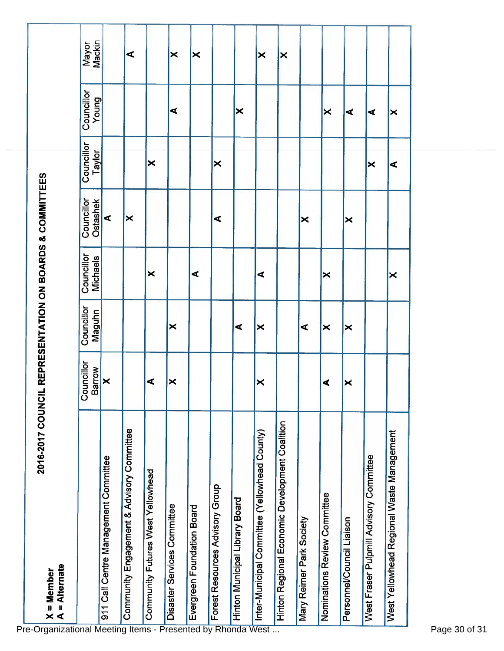| 2016-2017 COUNCIL<br>$A =$ Alternate<br>$X =$ Member |                            |                             |                        | REPRESENTATION ON BOARDS & COMMITTEES |                       |                            |                       |
|------------------------------------------------------|----------------------------|-----------------------------|------------------------|---------------------------------------|-----------------------|----------------------------|-----------------------|
|                                                      | uncillor<br>woue<br>ပ္ပဲ စ | Councillor<br><b>Maguhn</b> | Councillor<br>Michaels | Councillor<br>Ostashek                | Councillor<br>Taylor  | Councillor<br><b>Voung</b> | Mayor<br>Mackin       |
| 911 Centre Management Committee                      | ×                          |                             |                        | $\blacktriangleleft$                  |                       |                            |                       |
| Community Engagement & Advisory Committee            |                            |                             |                        | ×                                     |                       |                            | $\blacktriangleleft$  |
| Community Futures West Yellowhead                    | $\blacktriangleleft$       |                             | $\times$               |                                       | $\boldsymbol{\times}$ |                            |                       |
| Disaster Services Committee                          | $\Join$                    | $\mathsf{\bm{\times}}$      |                        |                                       |                       | ⋖                          | ✕                     |
| Evergreen Foundation Board                           |                            |                             | $\blacktriangleleft$   |                                       |                       |                            | $\boldsymbol{\times}$ |
| Forest Resources Advisory Group                      |                            |                             |                        | ⋖                                     | $\boldsymbol{\times}$ |                            |                       |
| Hinton Municipal Library Board                       |                            | $\blacktriangleleft$        |                        |                                       |                       | ✕                          |                       |
| Inter-Municipal Committee (Yellowhead County)        | ×                          | ×                           | ⋖                      |                                       |                       |                            | ×                     |
| Hinton Regional Economic Development Coalition       |                            |                             |                        |                                       |                       |                            | $\boldsymbol{\times}$ |
| Mary Reimer Park Society                             |                            | ⋖                           |                        | ✕                                     |                       |                            |                       |
| Nominations Review Committee                         | ⋖                          | ∣×                          | ×                      |                                       |                       | $\boldsymbol{\times}$      |                       |
| Personnel/Council Liaison                            | ×                          | $\boldsymbol{\times}$       |                        | ×                                     |                       | $\blacktriangleleft$       |                       |
| West Fraser Pulpmill Advisory Committee              |                            |                             |                        |                                       | $\boldsymbol{\times}$ | $\blacktriangleleft$       |                       |
| West Yellowhead Regional Waste Management            |                            |                             | $\bm{\times}$          |                                       | ⋖                     | $\bm{\times}$              |                       |

Pre-Organizational Meeting Items - Presented by Rhonda West ... Presented by Rhonda West ...